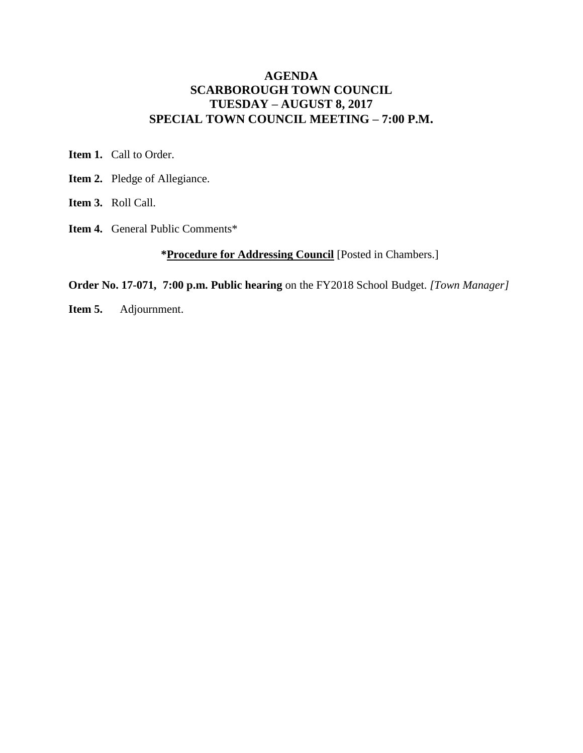## **AGENDA SCARBOROUGH TOWN COUNCIL TUESDAY – AUGUST 8, 2017 SPECIAL TOWN COUNCIL MEETING – 7:00 P.M.**

**Item 1.** Call to Order.

- **Item 2.** Pledge of Allegiance.
- **Item 3.** Roll Call.
- **Item 4.** General Public Comments\*

## **\*Procedure for Addressing Council** [Posted in Chambers.]

**Order No. 17-071, 7:00 p.m. Public hearing** on the FY2018 School Budget. *[Town Manager]*

**Item 5.** Adjournment.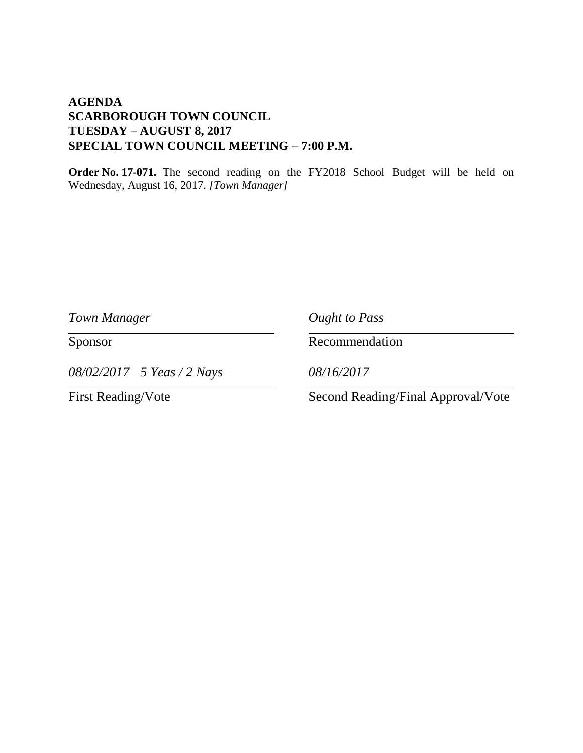## **AGENDA SCARBOROUGH TOWN COUNCIL TUESDAY – AUGUST 8, 2017 SPECIAL TOWN COUNCIL MEETING – 7:00 P.M.**

**Order No. 17-071.** The second reading on the FY2018 School Budget will be held on Wednesday, August 16, 2017. *[Town Manager]*

*Town Manager Ought to Pass*

*08/02/2017 5 Yeas / 2 Nays 08/16/2017*

Sponsor Recommendation

First Reading/Vote Second Reading/Final Approval/Vote